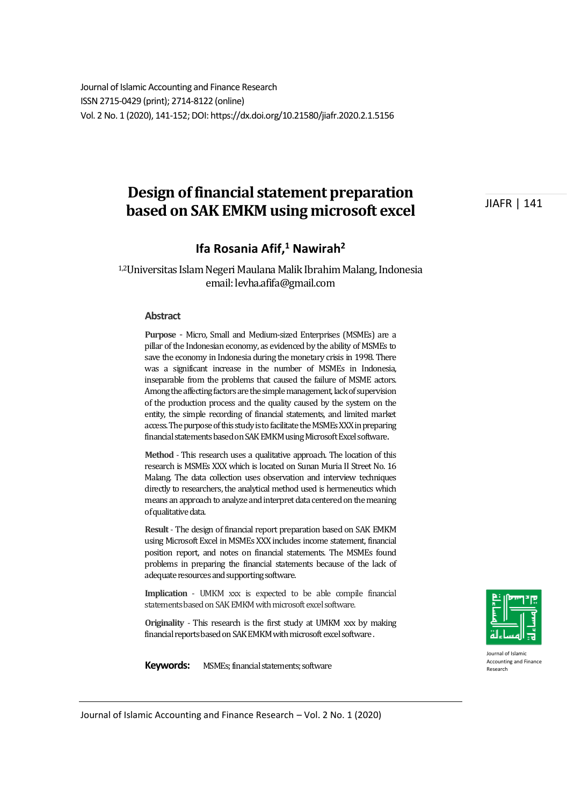Journal of Islamic Accounting and Finance Research ISSN 2715-0429 (print); 2714-8122 (online) Vol. 2 No. 1 (2020), 141-152; DOI: https://dx.doi.org/10.21580/jiafr.2020.2.1.5156

# **Design of financial statement preparation based on SAK EMKM using microsoft excel**

# **Ifa Rosania Afif,<sup>1</sup> Nawirah<sup>2</sup>**

1,2Universitas Islam Negeri Maulana Malik Ibrahim Malang, Indonesia email: levha.afifa@gmail.com

#### **Abstract**

**Purpose** - Micro, Small and Medium-sized Enterprises (MSMEs) are a pillar of the Indonesian economy, as evidenced by the ability of MSMEs to save the economy in Indonesia during the monetary crisis in 1998. There was a significant increase in the number of MSMEs in Indonesia, inseparable from the problems that caused the failure of MSME actors. Among the affecting factors are the simple management, lack of supervision of the production process and the quality caused by the system on the entity, the simple recording of financial statements, and limited market access. The purpose of this study is to facilitate the MSMEs XXX in preparing financial statements based on SAK EMKM using Microsoft Excel software.

**Method** - This research uses a qualitative approach. The location of this research is MSMEs XXX which is located on Sunan Muria II Street No. 16 Malang. The data collection uses observation and interview techniques directly to researchers, the analytical method used is hermeneutics which means an approach to analyze and interpret data centered on the meaning of qualitative data.

**Result** - The design of financial report preparation based on SAK EMKM using Microsoft Excel in MSMEs XXX includes income statement, financial position report, and notes on financial statements. The MSMEs found problems in preparing the financial statements because of the lack of adequate resources and supporting software.

**Implication** - UMKM xxx is expected to be able compile financial statements based on SAK EMKM with microsoft excel software.

**Originality** - This research is the first study at UMKM xxx by making financial reports based on SAK EMKM with microsoft excel software .

**Keywords:** MSMEs; financial statements; software



Journal of Islamic Accounting and Finance Research

Journal of Islamic Accounting and Finance Research – Vol. 2 No. 1 (2020)

JIAFR | 141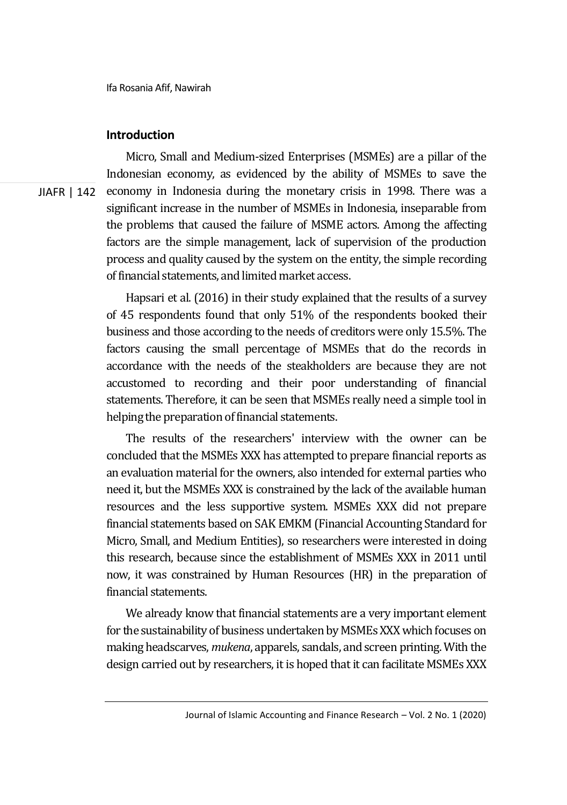# **Introduction**

JIAFR | 142 Micro, Small and Medium-sized Enterprises (MSMEs) are a pillar of the Indonesian economy, as evidenced by the ability of MSMEs to save the economy in Indonesia during the monetary crisis in 1998. There was a significant increase in the number of MSMEs in Indonesia, inseparable from the problems that caused the failure of MSME actors. Among the affecting factors are the simple management, lack of supervision of the production process and quality caused by the system on the entity, the simple recording of financial statements, and limited market access.

> Hapsari et al. (2016) in their study explained that the results of a survey of 45 respondents found that only 51% of the respondents booked their business and those according to the needs of creditors were only 15.5%. The factors causing the small percentage of MSMEs that do the records in accordance with the needs of the steakholders are because they are not accustomed to recording and their poor understanding of financial statements. Therefore, it can be seen that MSMEs really need a simple tool in helping the preparation of financial statements.

> The results of the researchers' interview with the owner can be concluded that the MSMEs XXX has attempted to prepare financial reports as an evaluation material for the owners, also intended for external parties who need it, but the MSMEs XXX is constrained by the lack of the available human resources and the less supportive system. MSMEs XXX did not prepare financial statements based on SAK EMKM (Financial Accounting Standard for Micro, Small, and Medium Entities), so researchers were interested in doing this research, because since the establishment of MSMEs XXX in 2011 until now, it was constrained by Human Resources (HR) in the preparation of financial statements.

> We already know that financial statements are a very important element for the sustainability of business undertaken by MSMEs XXX which focuses on making headscarves, *mukena*, apparels, sandals, and screen printing. With the design carried out by researchers, it is hoped that it can facilitate MSMEs XXX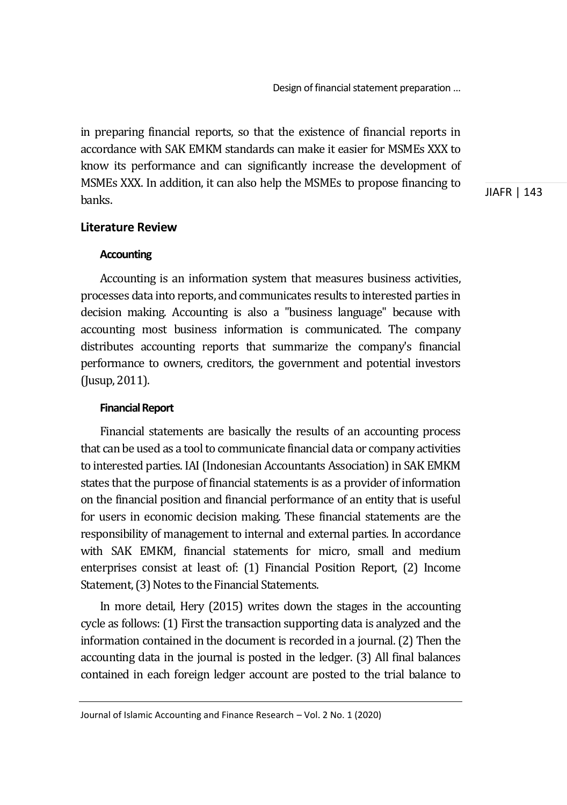in preparing financial reports, so that the existence of financial reports in accordance with SAK EMKM standards can make it easier for MSMEs XXX to know its performance and can significantly increase the development of MSMEs XXX. In addition, it can also help the MSMEs to propose financing to banks.

JIAFR | 143

# **Literature Review**

### **Accounting**

Accounting is an information system that measures business activities, processes data into reports, and communicates results to interested parties in decision making. Accounting is also a "business language" because with accounting most business information is communicated. The company distributes accounting reports that summarize the company's financial performance to owners, creditors, the government and potential investors (Jusup, 2011).

# **Financial Report**

Financial statements are basically the results of an accounting process that can be used as a tool to communicate financial data or company activities to interested parties. IAI (Indonesian Accountants Association) in SAK EMKM states that the purpose of financial statements is as a provider of information on the financial position and financial performance of an entity that is useful for users in economic decision making. These financial statements are the responsibility of management to internal and external parties. In accordance with SAK EMKM, financial statements for micro, small and medium enterprises consist at least of: (1) Financial Position Report, (2) Income Statement, (3) Notes to the Financial Statements.

In more detail, Hery (2015) writes down the stages in the accounting cycle as follows: (1) First the transaction supporting data is analyzed and the information contained in the document is recorded in a journal. (2) Then the accounting data in the journal is posted in the ledger. (3) All final balances contained in each foreign ledger account are posted to the trial balance to

Journal of Islamic Accounting and Finance Research – Vol. 2 No. 1 (2020)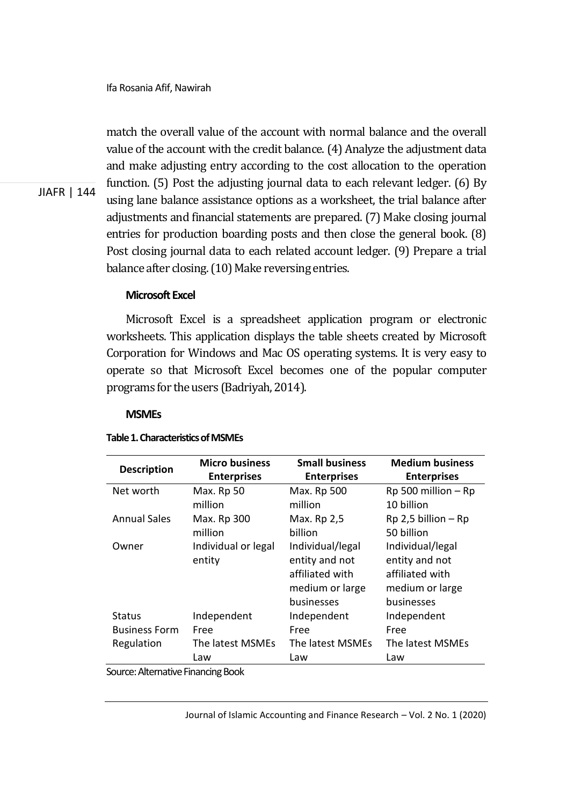JIAFR | 144

match the overall value of the account with normal balance and the overall value of the account with the credit balance. (4) Analyze the adjustment data and make adjusting entry according to the cost allocation to the operation function. (5) Post the adjusting journal data to each relevant ledger. (6) By using lane balance assistance options as a worksheet, the trial balance after adjustments and financial statements are prepared. (7) Make closing journal entries for production boarding posts and then close the general book. (8) Post closing journal data to each related account ledger. (9) Prepare a trial balance after closing. (10) Make reversing entries.

# **Microsoft Excel**

Microsoft Excel is a spreadsheet application program or electronic worksheets. This application displays the table sheets created by Microsoft Corporation for Windows and Mac OS operating systems. It is very easy to operate so that Microsoft Excel becomes one of the popular computer programs for the users (Badriyah, 2014).

#### **MSMEs**

#### **Table 1. Characteristics of MSMEs**

| <b>Description</b>   | <b>Micro business</b> | <b>Small business</b> | <b>Medium business</b>  |
|----------------------|-----------------------|-----------------------|-------------------------|
|                      | <b>Enterprises</b>    | <b>Enterprises</b>    | <b>Enterprises</b>      |
| Net worth            | Max. Rp 50            | Max. Rp 500           | Rp 500 million - Rp     |
|                      | million               | million               | 10 billion              |
| <b>Annual Sales</b>  | Max. Rp 300           | Max. Rp 2,5           | $Rp$ 2,5 billion – $Rp$ |
|                      | million               | billion               | 50 billion              |
| Owner                | Individual or legal   | Individual/legal      | Individual/legal        |
|                      | entity                | entity and not        | entity and not          |
|                      |                       | affiliated with       | affiliated with         |
|                      |                       | medium or large       | medium or large         |
|                      |                       | businesses            | businesses              |
| Status               | Independent           | Independent           | Independent             |
| <b>Business Form</b> | Free                  | Free                  | Free                    |
| Regulation           | The latest MSMEs      | The latest MSMEs      | The latest MSMEs        |
|                      | Law                   | Law                   | Law                     |

Source: Alternative Financing Book

Journal of Islamic Accounting and Finance Research – Vol. 2 No. 1 (2020)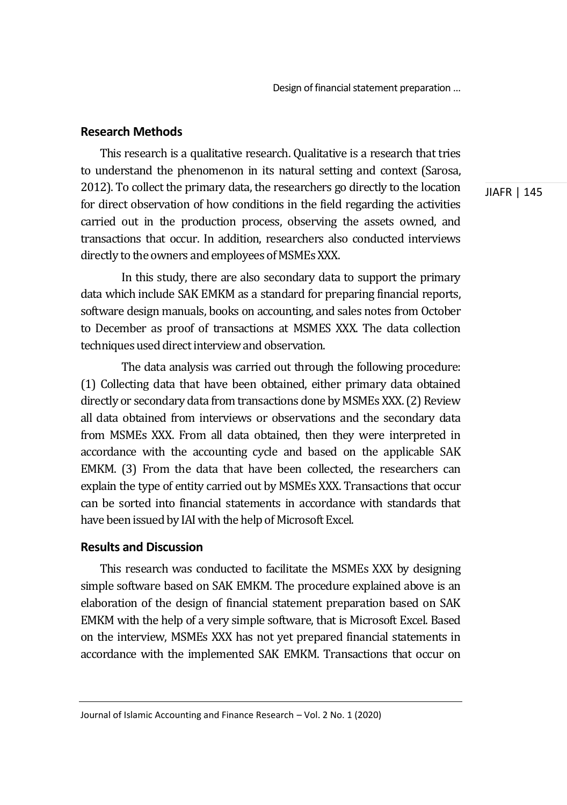# **Research Methods**

This research is a qualitative research. Qualitative is a research that tries to understand the phenomenon in its natural setting and context (Sarosa, 2012). To collect the primary data, the researchers go directly to the location for direct observation of how conditions in the field regarding the activities carried out in the production process, observing the assets owned, and transactions that occur. In addition, researchers also conducted interviews directly to the owners and employees of MSMEs XXX.

 In this study, there are also secondary data to support the primary data which include SAK EMKM as a standard for preparing financial reports, software design manuals, books on accounting, and sales notes from October to December as proof of transactions at MSMES XXX. The data collection techniques used direct interview and observation.

 The data analysis was carried out through the following procedure: (1) Collecting data that have been obtained, either primary data obtained directly or secondary data from transactions done by MSMEs XXX. (2) Review all data obtained from interviews or observations and the secondary data from MSMEs XXX. From all data obtained, then they were interpreted in accordance with the accounting cycle and based on the applicable SAK EMKM. (3) From the data that have been collected, the researchers can explain the type of entity carried out by MSMEs XXX. Transactions that occur can be sorted into financial statements in accordance with standards that have been issued by IAI with the help of Microsoft Excel.

# **Results and Discussion**

This research was conducted to facilitate the MSMEs XXX by designing simple software based on SAK EMKM. The procedure explained above is an elaboration of the design of financial statement preparation based on SAK EMKM with the help of a very simple software, that is Microsoft Excel. Based on the interview, MSMEs XXX has not yet prepared financial statements in accordance with the implemented SAK EMKM. Transactions that occur on

JIAFR | 145

Journal of Islamic Accounting and Finance Research – Vol. 2 No. 1 (2020)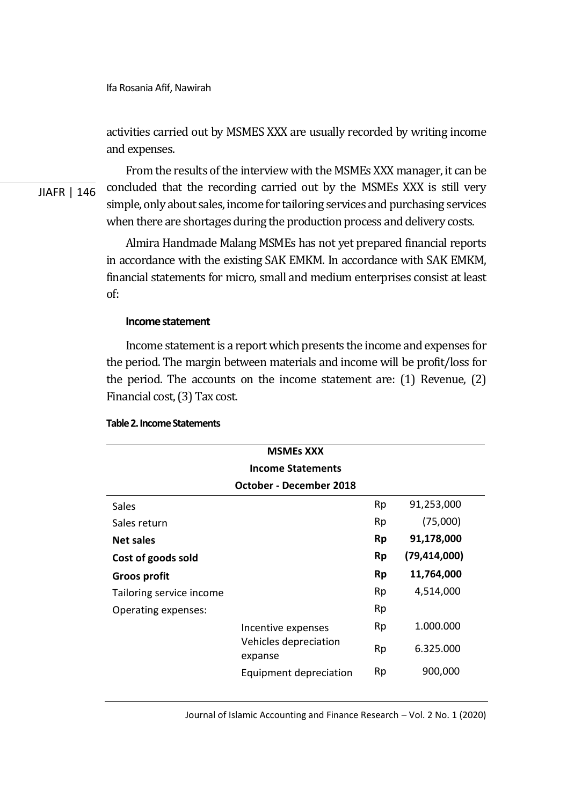activities carried out by MSMES XXX are usually recorded by writing income and expenses.

JIAFR | 146

From the results of the interview with the MSMEs XXX manager, it can be concluded that the recording carried out by the MSMEs XXX is still very simple, only about sales, income for tailoring services and purchasing services when there are shortages during the production process and delivery costs.

Almira Handmade Malang MSMEs has not yet prepared financial reports in accordance with the existing SAK EMKM. In accordance with SAK EMKM, financial statements for micro, small and medium enterprises consist at least of:

#### **Income statement**

Income statement is a report which presents the income and expenses for the period. The margin between materials and income will be profit/loss for the period. The accounts on the income statement are: (1) Revenue, (2) Financial cost, (3) Tax cost.

| <b>MSMEs XXX</b>         |                                                        |           |                |  |
|--------------------------|--------------------------------------------------------|-----------|----------------|--|
|                          | <b>Income Statements</b>                               |           |                |  |
| October - December 2018  |                                                        |           |                |  |
| <b>Sales</b>             |                                                        | Rp        | 91,253,000     |  |
| Sales return             |                                                        | Rp        | (75,000)       |  |
| <b>Net sales</b>         |                                                        | <b>Rp</b> | 91,178,000     |  |
| Cost of goods sold       |                                                        | <b>Rp</b> | (79, 414, 000) |  |
| Groos profit             |                                                        | Rp        | 11,764,000     |  |
| Tailoring service income |                                                        | Rp        | 4,514,000      |  |
| Operating expenses:      |                                                        | Rp        |                |  |
|                          | Incentive expenses<br>Vehicles depreciation<br>expanse | Rp        | 1.000.000      |  |
|                          |                                                        | Rp        | 6.325.000      |  |
|                          | Equipment depreciation                                 | Rp        | 900,000        |  |

#### **Table 2. Income Statements**

Journal of Islamic Accounting and Finance Research – Vol. 2 No. 1 (2020)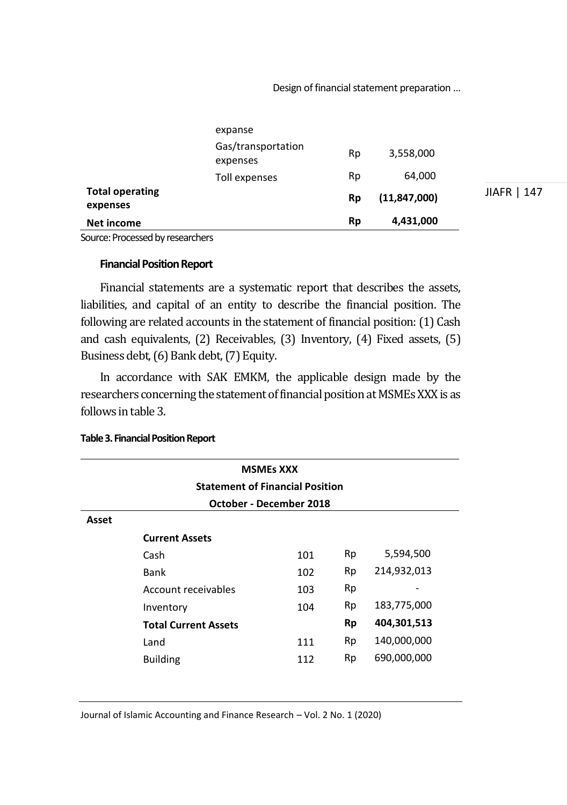|                                    | expanse                        |           |                |             |
|------------------------------------|--------------------------------|-----------|----------------|-------------|
|                                    | Gas/transportation<br>expenses | Rp        | 3,558,000      |             |
|                                    | Toll expenses                  | Rp        | 64,000         |             |
| <b>Total operating</b><br>expenses |                                | <b>Rp</b> | (11, 847, 000) | JIAFR   147 |
| Net income                         |                                | <b>Rp</b> | 4,431,000      |             |

Source: Processed by researchers

#### **Financial Position Report**

Financial statements are a systematic report that describes the assets, liabilities, and capital of an entity to describe the financial position. The following are related accounts in the statement of financial position: (1) Cash and cash equivalents, (2) Receivables, (3) Inventory, (4) Fixed assets, (5) Business debt, (6) Bank debt, (7) Equity.

In accordance with SAK EMKM, the applicable design made by the researchers concerning the statement of financial position at MSMEs XXX is as follows in table 3.

|       |                                        | <b>MSMEs XXX</b> |    |             |
|-------|----------------------------------------|------------------|----|-------------|
|       | <b>Statement of Financial Position</b> |                  |    |             |
|       | October - December 2018                |                  |    |             |
| Asset |                                        |                  |    |             |
|       | <b>Current Assets</b>                  |                  |    |             |
|       | Cash                                   | 101              | Rp | 5,594,500   |
|       | Bank                                   | 102              | Rp | 214,932,013 |
|       | Account receivables                    | 103              | Rp |             |
|       | Inventory                              | 104              | Rp | 183,775,000 |
|       | <b>Total Current Assets</b>            |                  | Rp | 404,301,513 |
|       | Land                                   | 111              | Rp | 140,000,000 |
|       | <b>Building</b>                        | 112              | Rp | 690,000,000 |

**Table 3. Financial Position Report** 

Journal of Islamic Accounting and Finance Research – Vol. 2 No. 1 (2020)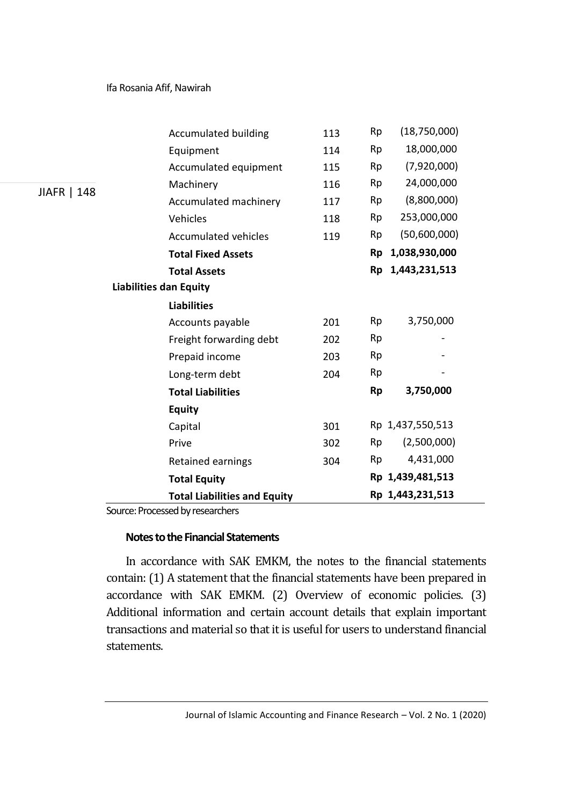|             | <b>Accumulated building</b>         | 113 | Rp        | (18,750,000)     |
|-------------|-------------------------------------|-----|-----------|------------------|
|             | Equipment                           | 114 | Rp        | 18,000,000       |
|             | Accumulated equipment               | 115 | Rp        | (7,920,000)      |
|             | Machinery                           | 116 | Rp        | 24,000,000       |
| JIAFR   148 | Accumulated machinery               | 117 | Rp        | (8,800,000)      |
|             | Vehicles                            | 118 | Rp        | 253,000,000      |
|             | Accumulated vehicles                | 119 | Rp        | (50,600,000)     |
|             | <b>Total Fixed Assets</b>           |     | <b>Rp</b> | 1,038,930,000    |
|             | <b>Total Assets</b>                 |     | <b>Rp</b> | 1,443,231,513    |
|             | <b>Liabilities dan Equity</b>       |     |           |                  |
|             | <b>Liabilities</b>                  |     |           |                  |
|             | Accounts payable                    | 201 | Rp        | 3,750,000        |
|             | Freight forwarding debt             | 202 | Rp        |                  |
|             | Prepaid income                      | 203 | Rp        |                  |
|             | Long-term debt                      | 204 | Rp        |                  |
|             | <b>Total Liabilities</b>            |     | <b>Rp</b> | 3,750,000        |
|             | <b>Equity</b>                       |     |           |                  |
|             | Capital                             | 301 |           | Rp 1,437,550,513 |
|             | Prive                               | 302 | Rp        | (2,500,000)      |
|             | Retained earnings                   | 304 | Rp        | 4,431,000        |
|             | <b>Total Equity</b>                 |     |           | Rp 1,439,481,513 |
|             | <b>Total Liabilities and Equity</b> |     |           | Rp 1,443,231,513 |

Source: Processed by researchers

### **Notes to the Financial Statements**

In accordance with SAK EMKM, the notes to the financial statements contain: (1) A statement that the financial statements have been prepared in accordance with SAK EMKM. (2) Overview of economic policies. (3) Additional information and certain account details that explain important transactions and material so that it is useful for users to understand financial statements.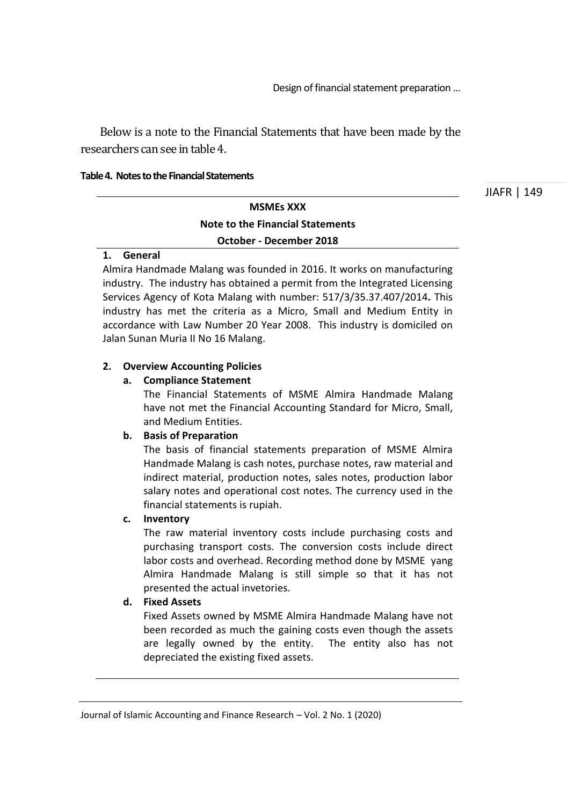Below is a note to the Financial Statements that have been made by the researchers can see in table 4.

#### **Table 4. Notes to the Financial Statements**

JIAFR | 149

# **MSMEs XXX Note to the Financial Statements October - December 2018**

#### **1. General**

Almira Handmade Malang was founded in 2016. It works on manufacturing industry. The industry has obtained a permit from the Integrated Licensing Services Agency of Kota Malang with number: 517/3/35.37.407/2014**.** This industry has met the criteria as a Micro, Small and Medium Entity in accordance with Law Number 20 Year 2008. This industry is domiciled on Jalan Sunan Muria II No 16 Malang.

#### **2. Overview Accounting Policies**

#### **a. Compliance Statement**

The Financial Statements of MSME Almira Handmade Malang have not met the Financial Accounting Standard for Micro, Small, and Medium Entities.

# **b. Basis of Preparation**

The basis of financial statements preparation of MSME Almira Handmade Malang is cash notes, purchase notes, raw material and indirect material, production notes, sales notes, production labor salary notes and operational cost notes. The currency used in the financial statements is rupiah.

#### **c. Inventory**

The raw material inventory costs include purchasing costs and purchasing transport costs. The conversion costs include direct labor costs and overhead. Recording method done by MSME yang Almira Handmade Malang is still simple so that it has not presented the actual invetories.

### **d. Fixed Assets**

Fixed Assets owned by MSME Almira Handmade Malang have not been recorded as much the gaining costs even though the assets are legally owned by the entity. The entity also has not depreciated the existing fixed assets.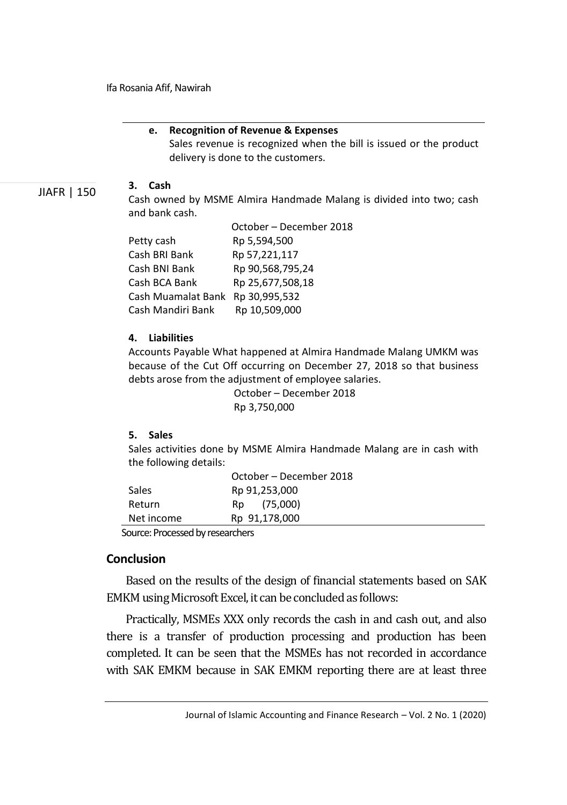#### **e. Recognition of Revenue & Expenses**

Sales revenue is recognized when the bill is issued or the product delivery is done to the customers.

JIAFR | 150

#### **3. Cash**

Cash owned by MSME Almira Handmade Malang is divided into two; cash and bank cash.

|                    | October - December 2018 |
|--------------------|-------------------------|
| Petty cash         | Rp 5,594,500            |
| Cash BRI Bank      | Rp 57,221,117           |
| Cash BNI Bank      | Rp 90,568,795,24        |
| Cash BCA Bank      | Rp 25,677,508,18        |
| Cash Muamalat Bank | Rp 30,995,532           |
| Cash Mandiri Bank  | Rp 10,509,000           |

#### **4. Liabilities**

Accounts Payable What happened at Almira Handmade Malang UMKM was because of the Cut Off occurring on December 27, 2018 so that business debts arose from the adjustment of employee salaries.

> October – December 2018 Rp 3,750,000

# **5. Sales**

Sales activities done by MSME Almira Handmade Malang are in cash with the following details:

|            | October – December 2018 |  |
|------------|-------------------------|--|
| Sales      | Rp 91,253,000           |  |
| Return     | Rp (75,000)             |  |
| Net income | Rp 91,178,000           |  |

Source: Processed by researchers

# **Conclusion**

Based on the results of the design of financial statements based on SAK EMKM using Microsoft Excel, it can be concluded as follows:

Practically, MSMEs XXX only records the cash in and cash out, and also there is a transfer of production processing and production has been completed. It can be seen that the MSMEs has not recorded in accordance with SAK EMKM because in SAK EMKM reporting there are at least three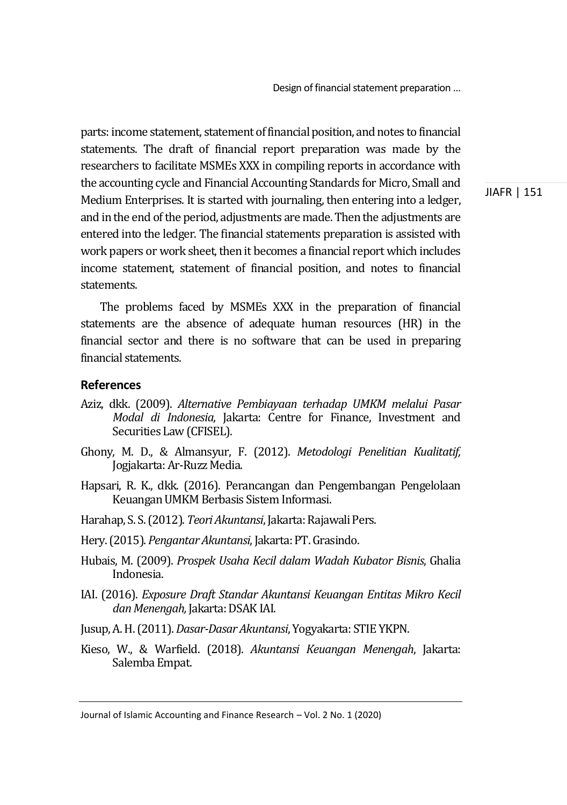parts: income statement, statement of financial position, and notes to financial statements. The draft of financial report preparation was made by the researchers to facilitate MSMEs XXX in compiling reports in accordance with the accounting cycle and Financial Accounting Standards for Micro, Small and Medium Enterprises. It is started with journaling, then entering into a ledger, and in the end of the period, adjustments are made. Then the adjustments are entered into the ledger. The financial statements preparation is assisted with work papers or work sheet, then it becomes a financial report which includes income statement, statement of financial position, and notes to financial statements.

The problems faced by MSMEs XXX in the preparation of financial statements are the absence of adequate human resources (HR) in the financial sector and there is no software that can be used in preparing financial statements.

# **References**

- Aziz, dkk. (2009). *Alternative Pembiayaan terhadap UMKM melalui Pasar Modal di Indonesia*, Jakarta: Centre for Finance, Investment and Securities Law (CFISEL).
- Ghony, M. D., & Almansyur, F. (2012). *Metodologi Penelitian Kualitatif,*  Jogjakarta: Ar-Ruzz Media.
- Hapsari, R. K., dkk. (2016). Perancangan dan Pengembangan Pengelolaan Keuangan UMKM Berbasis Sistem Informasi.
- Harahap, S. S. (2012). *Teori Akuntansi*, Jakarta: Rajawali Pers.
- Hery. (2015). *Pengantar Akuntansi*, Jakarta: PT. Grasindo.
- Hubais, M. (2009). *Prospek Usaha Kecil dalam Wadah Kubator Bisnis*, Ghalia Indonesia.
- IAI. (2016). *Exposure Draft Standar Akuntansi Keuangan Entitas Mikro Kecil dan Menengah,* Jakarta: DSAK IAI.
- Jusup, A. H. (2011). *Dasar-Dasar Akuntansi*, Yogyakarta: STIE YKPN.
- Kieso, W., & Warfield. (2018). *Akuntansi Keuangan Menengah*, Jakarta: Salemba Empat.

Journal of Islamic Accounting and Finance Research – Vol. 2 No. 1 (2020)

JIAFR | 151